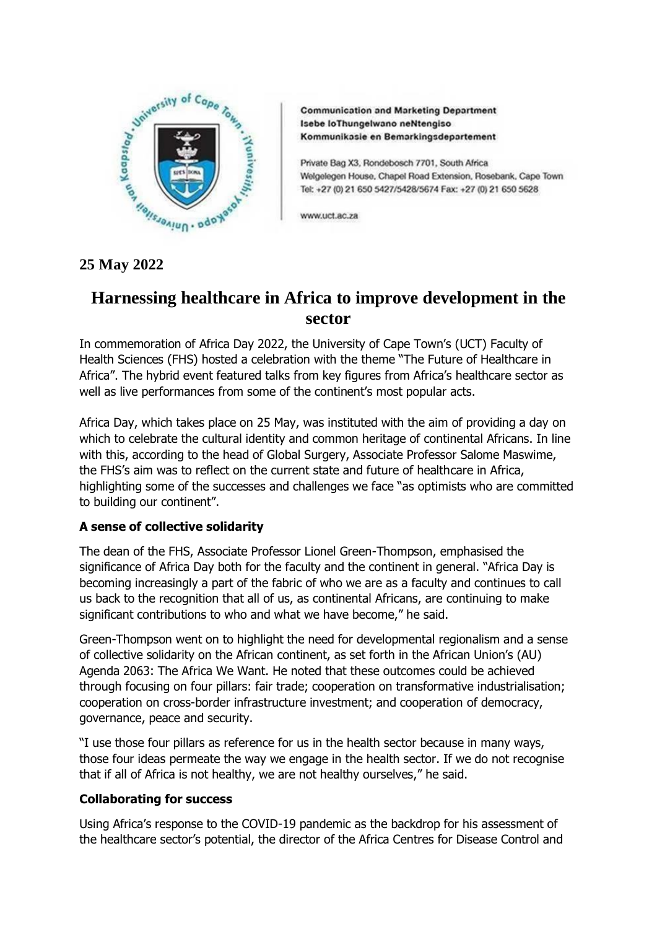

**Communication and Marketing Department** Isebe loThungelwano neNtengiso Kommunikasie en Bemarkingsdepartement

Private Bag X3, Rondebosch 7701, South Africa Welgelegen House, Chapel Road Extension, Rosebank, Cape Town Tel: +27 (0) 21 650 5427/5428/5674 Fax: +27 (0) 21 650 5628

www.uct.ac.za

# **Harnessing healthcare in Africa to improve development in the sector**

In commemoration of Africa Day 2022, the University of Cape Town's (UCT) Faculty of Health Sciences (FHS) hosted a celebration with the theme "The Future of Healthcare in Africa". The hybrid event featured talks from key figures from Africa's healthcare sector as well as live performances from some of the continent's most popular acts.

Africa Day, which takes place on 25 May, was instituted with the aim of providing a day on which to celebrate the cultural identity and common heritage of continental Africans. In line with this, according to the head of Global Surgery, Associate Professor Salome Maswime, the FHS's aim was to reflect on the current state and future of healthcare in Africa, highlighting some of the successes and challenges we face "as optimists who are committed to building our continent".

# **A sense of collective solidarity**

The dean of the FHS, Associate Professor Lionel Green-Thompson, emphasised the significance of Africa Day both for the faculty and the continent in general. "Africa Day is becoming increasingly a part of the fabric of who we are as a faculty and continues to call us back to the recognition that all of us, as continental Africans, are continuing to make significant contributions to who and what we have become," he said.

Green-Thompson went on to highlight the need for developmental regionalism and a sense of collective solidarity on the African continent, as set forth in the African Union's (AU) Agenda 2063: The Africa We Want. He noted that these outcomes could be achieved through focusing on four pillars: fair trade; cooperation on transformative industrialisation; cooperation on cross-border infrastructure investment; and cooperation of democracy, governance, peace and security.

"I use those four pillars as reference for us in the health sector because in many ways, those four ideas permeate the way we engage in the health sector. If we do not recognise that if all of Africa is not healthy, we are not healthy ourselves," he said.

# **Collaborating for success**

Using Africa's response to the COVID-19 pandemic as the backdrop for his assessment of the healthcare sector's potential, the director of the Africa Centres for Disease Control and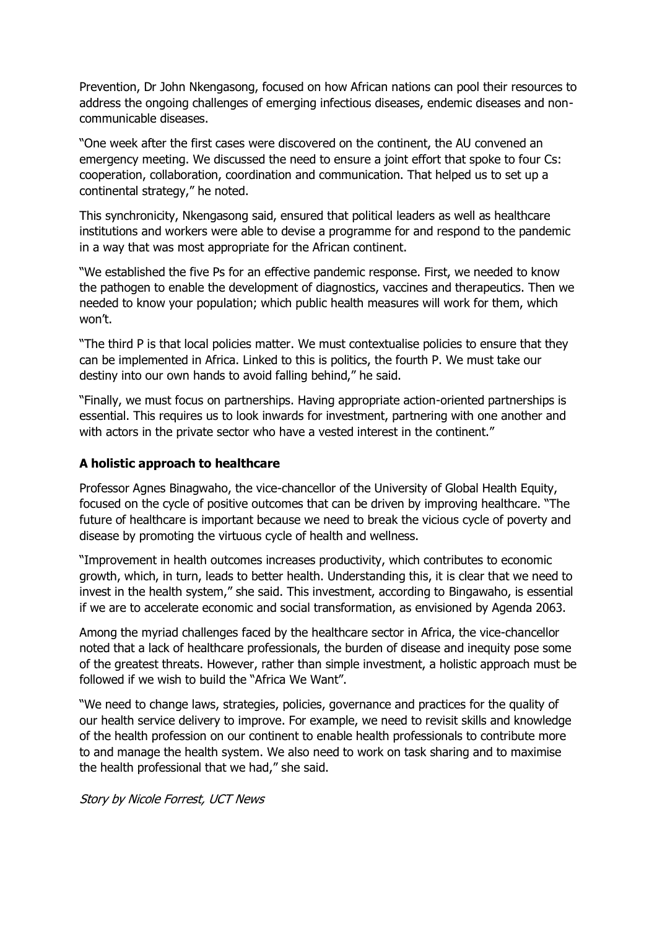Prevention, Dr John Nkengasong, focused on how African nations can pool their resources to address the ongoing challenges of emerging infectious diseases, endemic diseases and noncommunicable diseases.

"One week after the first cases were discovered on the continent, the AU convened an emergency meeting. We discussed the need to ensure a joint effort that spoke to four Cs: cooperation, collaboration, coordination and communication. That helped us to set up a continental strategy," he noted.

This synchronicity, Nkengasong said, ensured that political leaders as well as healthcare institutions and workers were able to devise a programme for and respond to the pandemic in a way that was most appropriate for the African continent.

"We established the five Ps for an effective pandemic response. First, we needed to know the pathogen to enable the development of diagnostics, vaccines and therapeutics. Then we needed to know your population; which public health measures will work for them, which won't.

"The third P is that local policies matter. We must contextualise policies to ensure that they can be implemented in Africa. Linked to this is politics, the fourth P. We must take our destiny into our own hands to avoid falling behind," he said.

"Finally, we must focus on partnerships. Having appropriate action-oriented partnerships is essential. This requires us to look inwards for investment, partnering with one another and with actors in the private sector who have a vested interest in the continent."

## **A holistic approach to healthcare**

Professor Agnes Binagwaho, the vice-chancellor of the University of Global Health Equity, focused on the cycle of positive outcomes that can be driven by improving healthcare. "The future of healthcare is important because we need to break the vicious cycle of poverty and disease by promoting the virtuous cycle of health and wellness.

"Improvement in health outcomes increases productivity, which contributes to economic growth, which, in turn, leads to better health. Understanding this, it is clear that we need to invest in the health system," she said. This investment, according to Bingawaho, is essential if we are to accelerate economic and social transformation, as envisioned by Agenda 2063.

Among the myriad challenges faced by the healthcare sector in Africa, the vice-chancellor noted that a lack of healthcare professionals, the burden of disease and inequity pose some of the greatest threats. However, rather than simple investment, a holistic approach must be followed if we wish to build the "Africa We Want".

"We need to change laws, strategies, policies, governance and practices for the quality of our health service delivery to improve. For example, we need to revisit skills and knowledge of the health profession on our continent to enable health professionals to contribute more to and manage the health system. We also need to work on task sharing and to maximise the health professional that we had," she said.

Story by Nicole Forrest, UCT News